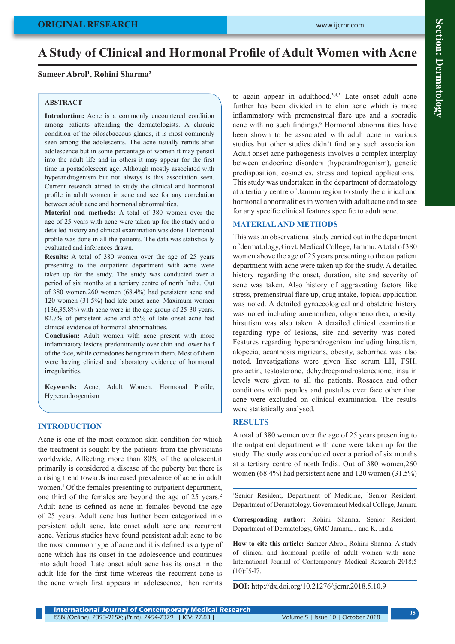# **A Study of Clinical and Hormonal Profile of Adult Women with Acne**

# **Sameer Abrol<sup>1</sup> , Rohini Sharma<sup>2</sup>**

#### **ABSTRACT**

**Introduction:** Acne is a commonly encountered condition among patients attending the dermatologists. A chronic condition of the pilosebaceous glands, it is most commonly seen among the adolescents. The acne usually remits after adolescence but in some percentage of women it may persist into the adult life and in others it may appear for the first time in postadolescent age. Although mostly associated with hyperandrogenism but not always is this association seen. Current research aimed to study the clinical and hormonal profile in adult women in acne and see for any correlation between adult acne and hormonal abnormalities.

**Material and methods:** A total of 380 women over the age of 25 years with acne were taken up for the study and a detailed history and clinical examination was done. Hormonal profile was done in all the patients. The data was statistically evaluated and inferences drawn.

**Results:** A total of 380 women over the age of 25 years presenting to the outpatient department with acne were taken up for the study. The study was conducted over a period of six months at a tertiary centre of north India. Out of 380 women,260 women (68.4%) had persistent acne and 120 women (31.5%) had late onset acne. Maximum women (136,35.8%) with acne were in the age group of 25-30 years. 82.7% of persistent acne and 55% of late onset acne had clinical evidence of hormonal abnormalities.

**Conclusion:** Adult women with acne present with more inflammatory lesions predominantly over chin and lower half of the face, while comedones being rare in them. Most of them were having clinical and laboratory evidence of hormonal irregularities.

**Keywords:** Acne, Adult Women. Hormonal Profile, Hyperandrogemism

### **INTRODUCTION**

Acne is one of the most common skin condition for which the treatment is sought by the patients from the physicians worldwide. Affecting more than 80% of the adolescent,it primarily is considered a disease of the puberty but there is a rising trend towards increased prevalence of acne in adult women.<sup>1</sup> Of the females presenting to outpatient department, one third of the females are beyond the age of 25 years.<sup>2</sup> Adult acne is defined as acne in females beyond the age of 25 years. Adult acne has further been categorized into persistent adult acne, late onset adult acne and recurrent acne. Various studies have found persistent adult acne to be the most common type of acne and it is defined as a type of acne which has its onset in the adolescence and continues into adult hood. Late onset adult acne has its onset in the adult life for the first time whereas the recurrent acne is the acne which first appears in adolescence, then remits

to again appear in adulthood. $3,4,5$  Late onset adult acne further has been divided in to chin acne which is more inflammatory with premenstrual flare ups and a sporadic acne with no such findings.<sup>6</sup> Hormonal abnormalities have been shown to be associated with adult acne in various studies but other studies didn't find any such association. Adult onset acne pathogenesis involves a complex interplay between endocrine disorders (hyperandrogenism), genetic predisposition, cosmetics, stress and topical applications.7 This study was undertaken in the department of dermatology at a tertiary centre of Jammu region to study the clinical and hormonal abnormalities in women with adult acne and to see for any specific clinical features specific to adult acne.

#### **MATERIAL AND METHODS**

This was an observational study carried out in the department of dermatology, Govt. Medical College, Jammu. A total of 380 women above the age of 25 years presenting to the outpatient department with acne were taken up for the study. A detailed history regarding the onset, duration, site and severity of acne was taken. Also history of aggravating factors like stress, premenstrual flare up, drug intake, topical application was noted. A detailed gynaecological and obstetric history was noted including amenorrhea, oligomenorrhea, obesity, hirsutism was also taken. A detailed clinical examination regarding type of lesions, site and severity was noted. Features regarding hyperandrogenism including hirsutism, alopecia, acanthosis nigricans, obesity, seborrhea was also noted. Investigations were given like serum LH, FSH, prolactin, testosterone, dehydroepiandrostenedione, insulin levels were given to all the patients. Rosacea and other conditions with papules and pustules over face other than acne were excluded on clinical examination. The results were statistically analysed.

### **RESULTS**

A total of 380 women over the age of 25 years presenting to the outpatient department with acne were taken up for the study. The study was conducted over a period of six months at a tertiary centre of north India. Out of 380 women,260 women (68.4%) had persistent acne and 120 women (31.5%)

<sup>1</sup>Senior Resident, Department of Medicine, <sup>2</sup>Senior Resident, Department of Dermatology, Government Medical College, Jammu

**Corresponding author:** Rohini Sharma, Senior Resident, Department of Dermatology, GMC Jammu, J and K. India

**How to cite this article:** Sameer Abrol, Rohini Sharma. A study of clinical and hormonal profile of adult women with acne. International Journal of Contemporary Medical Research 2018;5  $(10):I5-I7.$ 

**DOI:** http://dx.doi.org/10.21276/ijcmr.2018.5.10.9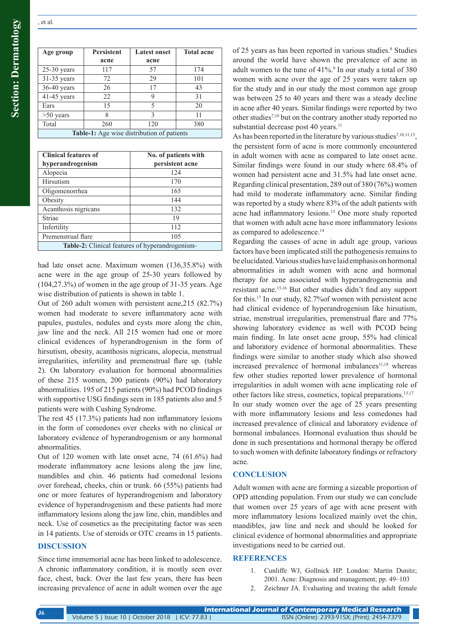| Age group     | <b>Persistent</b><br>acne | <b>Latest onset</b><br>acne | <b>Total acne</b> |
|---------------|---------------------------|-----------------------------|-------------------|
| $25-30$ years | 117                       | 57                          | 174               |
| 31-35 years   | 72                        | 29                          | 101               |
| $36-40$ years | 26                        | 17                          | 43                |
| $41-45$ years | 22                        | 9                           | 31                |
| Ears          | 15                        | 5                           | 20                |
| $>50$ years   | 8                         | 3                           | 11                |
| Total         | 260                       | 120                         | 380               |

**Table-1:** Age wise distribution of patients

| <b>Clinical features of</b><br>hyperandrogenism        | No. of patients with<br>persistent acne |  |
|--------------------------------------------------------|-----------------------------------------|--|
| Alopecia                                               | 124                                     |  |
| Hirsutism                                              | 170                                     |  |
| Oligomenorrhea                                         | 165                                     |  |
| Obesity                                                | 144                                     |  |
| Acanthosis nigricans                                   | 132                                     |  |
| Striae                                                 | 19                                      |  |
| Infertility                                            | 112                                     |  |
| Premenstrual flare                                     | 105                                     |  |
| <b>Table-2:</b> Clinical features of hyperandrogenism- |                                         |  |

had late onset acne. Maximum women (136,35.8%) with acne were in the age group of 25-30 years followed by (104,27.3%) of women in the age group of 31-35 years. Age wise distribution of patients is shown in table 1.

Out of 260 adult women with persistent acne,215 (82.7%) women had moderate to severe inflammatory acne with papules, pustules, nodules and cysts more along the chin, jaw line and the neck. All 215 women had one or more clinical evidences of hyperandrogenism in the form of hirsutism, obesity, acanthosis nigricans, alopecia, menstrual irregularities, infertility and premenstrual flare up. (table 2). On laboratory evaluation for hormonal abnormalities of these 215 women, 200 patients (90%) had laboratory abnormalities. 195 of 215 patients (90%) had PCOD findings with supportive USG findings seen in 185 patients also and 5 patients were with Cushing Syndrome.

The rest 45 (17.3%) patients had non inflammatory lesions in the form of comedones over cheeks with no clinical or laboratory evidence of hyperandrogenism or any hormonal abnormalities.

Out of 120 women with late onset acne, 74 (61.6%) had moderate inflammatory acne lesions along the jaw line, mandibles and chin. 46 patients had comedonal lesions over forehead, cheeks, chin or trunk. 66 (55%) patients had one or more features of hyperandrogenism and laboratory evidence of hyperandrogenism and these patients had more inflammatory lesions along the jaw line, chin, mandibles and neck. Use of cosmetics as the precipitating factor was seen in 14 patients. Use of steroids or OTC creams in 15 patients.

#### **DISCUSSION**

Since time immemorial acne has been linked to adolescence. A chronic inflammatory condition, it is mostly seen over face, chest, back. Over the last few years, there has been increasing prevalence of acne in adult women over the age

of 25 years as has been reported in various studies.<sup>8</sup> Studies around the world have shown the prevalence of acne in adult women to the tune of  $41\%$ .<sup>9</sup> In our study a total of 380 women with acne over the age of 25 years were taken up for the study and in our study the most common age group was between 25 to 40 years and there was a steady decline in acne after 40 years. Similar findings were reported by two other studies7,10 but on the contrary another study reported no substantial decrease post 40 years.<sup>11</sup>

As has been reported in the literature by various studies<sup>7,10,11,13</sup>, the persistent form of acne is more commonly encountered in adult women with acne as compared to late onset acne. Similar findings were found in our study where 68.4% of women had persistent acne and 31.5% had late onset acne. Regarding clinical presentation, 289 out of 380 (76%) women had mild to moderate inflammatory acne. Similar finding was reported by a study where 83% of the adult patients with acne had inflammatory lesions.13 One more study reported that women with adult acne have more inflammatory lesions as compared to adolescence.14

Regarding the causes of acne in adult age group, various factors have been implicated still the pathogenesis remains to be elucidated. Various studies have laid emphasis on hormonal abnormalities in adult women with acne and hormonal therapy for acne associated with hyperandrogenemia and resistant acne.15,16 But other studies didn't find any support for this.17 In our study, 82.7%of women with persistent acne had clinical evidence of hyperandrogenism like hirsutism, striae, menstrual irregularities, premenstrual flare and 77% showing laboratory evidence as well with PCOD being main finding. In late onset acne group, 55% had clinical and laboratory evidence of hormonal abnormalities. These findings were similar to another study which also showed increased prevalence of hormonal imbalances<sup>11,18</sup> whereas few other studies reported lower prevalence of hormonal irregularities in adult women with acne implicating role of other factors like stress, cosmetics, topical preparations.13,17 In our study women over the age of 25 years presenting with more inflammatory lesions and less comedones had increased prevalence of clinical and laboratory evidence of hormonal imbalances. Hormonal evaluation thus should be done in such presentations and hormonal therapy be offered to such women with definite laboratory findings or refractory acne.

# **CONCLUSION**

Adult women with acne are forming a sizeable proportion of OPD attending population. From our study we can conclude that women over 25 years of age with acne present with more inflammatory lesions localized mainly ovet the chin, mandibles, jaw line and neck and should be looked for clinical evidence of hormonal abnormalities and appropriate investigations need to be carried out.

#### **REFERENCES**

- 1. Cunliffe WJ, Gollnick HP. London: Martin Dunitz; 2001. Acne: Diagnosis and management; pp. 49–103
- 2. Zeichner JA. Evaluating and treating the adult female